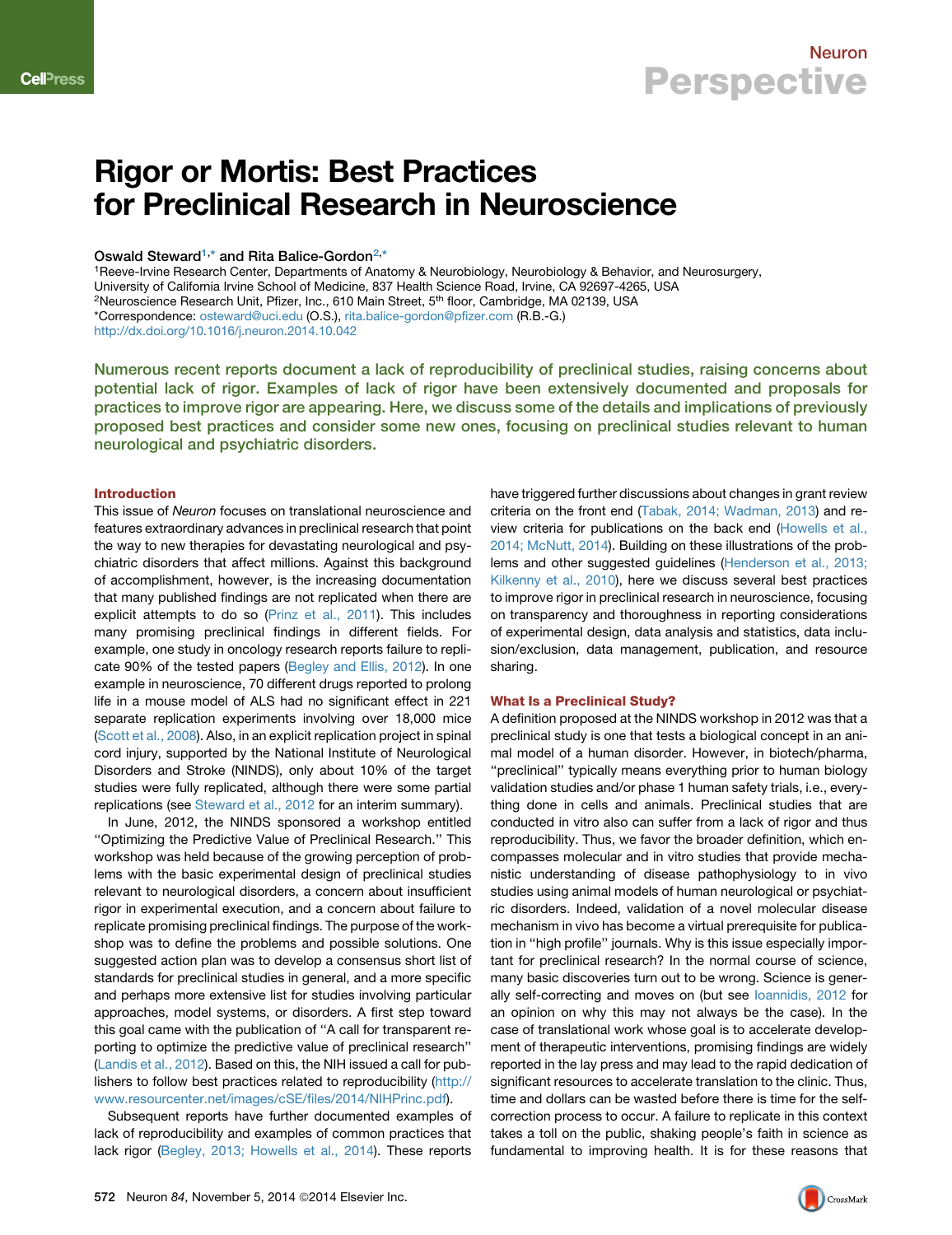# Rigor or Mortis: Best Practices for Preclinical Research in Neuroscience

# Oswald Steward<sup>[1](#page-0-0),[\\*](#page-0-1)</sup> and Rita Balice-Gordon<sup>[2](#page-0-2),\*</sup>

<span id="page-0-2"></span><span id="page-0-1"></span><span id="page-0-0"></span>1Reeve-Irvine Research Center, Departments of Anatomy & Neurobiology, Neurobiology & Behavior, and Neurosurgery, University of California Irvine School of Medicine, 837 Health Science Road, Irvine, CA 92697-4265, USA <sup>2</sup>Neuroscience Research Unit, Pfizer, Inc., 610 Main Street, 5<sup>th</sup> floor, Cambridge, MA 02139, USA \*Correspondence: [osteward@uci.edu](mailto:osteward@uci.edu) (O.S.), [rita.balice-gordon@pfizer.com](mailto:rita.balice-gordon@pfizer.com) (R.B.-G.) <http://dx.doi.org/10.1016/j.neuron.2014.10.042>

Numerous recent reports document a lack of reproducibility of preclinical studies, raising concerns about potential lack of rigor. Examples of lack of rigor have been extensively documented and proposals for practices to improve rigor are appearing. Here, we discuss some of the details and implications of previously proposed best practices and consider some new ones, focusing on preclinical studies relevant to human neurological and psychiatric disorders.

### Introduction

This issue of *Neuron* focuses on translational neuroscience and features extraordinary advances in preclinical research that point the way to new therapies for devastating neurological and psychiatric disorders that affect millions. Against this background of accomplishment, however, is the increasing documentation that many published findings are not replicated when there are explicit attempts to do so [\(Prinz et al., 2011\)](#page-9-0). This includes many promising preclinical findings in different fields. For example, one study in oncology research reports failure to replicate 90% of the tested papers ([Begley and Ellis, 2012\)](#page-9-1). In one example in neuroscience, 70 different drugs reported to prolong life in a mouse model of ALS had no significant effect in 221 separate replication experiments involving over 18,000 mice ([Scott et al., 2008\)](#page-9-2). Also, in an explicit replication project in spinal cord injury, supported by the National Institute of Neurological Disorders and Stroke (NINDS), only about 10% of the target studies were fully replicated, although there were some partial replications (see [Steward et al., 2012](#page-9-3) for an interim summary).

In June, 2012, the NINDS sponsored a workshop entitled ''Optimizing the Predictive Value of Preclinical Research.'' This workshop was held because of the growing perception of problems with the basic experimental design of preclinical studies relevant to neurological disorders, a concern about insufficient rigor in experimental execution, and a concern about failure to replicate promising preclinical findings. The purpose of the workshop was to define the problems and possible solutions. One suggested action plan was to develop a consensus short list of standards for preclinical studies in general, and a more specific and perhaps more extensive list for studies involving particular approaches, model systems, or disorders. A first step toward this goal came with the publication of ''A call for transparent reporting to optimize the predictive value of preclinical research'' ([Landis et al., 2012\)](#page-9-4). Based on this, the NIH issued a call for publishers to follow best practices related to reproducibility ([http://](http://www.resourcenter.net/images/cSE/files/2014/NIHPrinc.pdf) [www.resourcenter.net/images/cSE/files/2014/NIHPrinc.pdf\).](http://www.resourcenter.net/images/cSE/files/2014/NIHPrinc.pdf)

Subsequent reports have further documented examples of lack of reproducibility and examples of common practices that lack rigor [\(Begley, 2013; Howells et al., 2014\)](#page-9-5). These reports

have triggered further discussions about changes in grant review criteria on the front end [\(Tabak, 2014; Wadman, 2013\)](#page-9-6) and review criteria for publications on the back end ([Howells et al.,](#page-9-7) [2014; McNutt, 2014\)](#page-9-7). Building on these illustrations of the problems and other suggested guidelines [\(Henderson et al., 2013;](#page-9-8) [Kilkenny et al., 2010](#page-9-8)), here we discuss several best practices to improve rigor in preclinical research in neuroscience, focusing on transparency and thoroughness in reporting considerations of experimental design, data analysis and statistics, data inclusion/exclusion, data management, publication, and resource sharing.

### What Is a Preclinical Study?

A definition proposed at the NINDS workshop in 2012 was that a preclinical study is one that tests a biological concept in an animal model of a human disorder. However, in biotech/pharma, ''preclinical'' typically means everything prior to human biology validation studies and/or phase 1 human safety trials, i.e., everything done in cells and animals. Preclinical studies that are conducted in vitro also can suffer from a lack of rigor and thus reproducibility. Thus, we favor the broader definition, which encompasses molecular and in vitro studies that provide mechanistic understanding of disease pathophysiology to in vivo studies using animal models of human neurological or psychiatric disorders. Indeed, validation of a novel molecular disease mechanism in vivo has become a virtual prerequisite for publication in ''high profile'' journals. Why is this issue especially important for preclinical research? In the normal course of science, many basic discoveries turn out to be wrong. Science is generally self-correcting and moves on (but see loannidis, 2012 for an opinion on why this may not always be the case). In the case of translational work whose goal is to accelerate development of therapeutic interventions, promising findings are widely reported in the lay press and may lead to the rapid dedication of significant resources to accelerate translation to the clinic. Thus, time and dollars can be wasted before there is time for the selfcorrection process to occur. A failure to replicate in this context takes a toll on the public, shaking people's faith in science as fundamental to improving health. It is for these reasons that

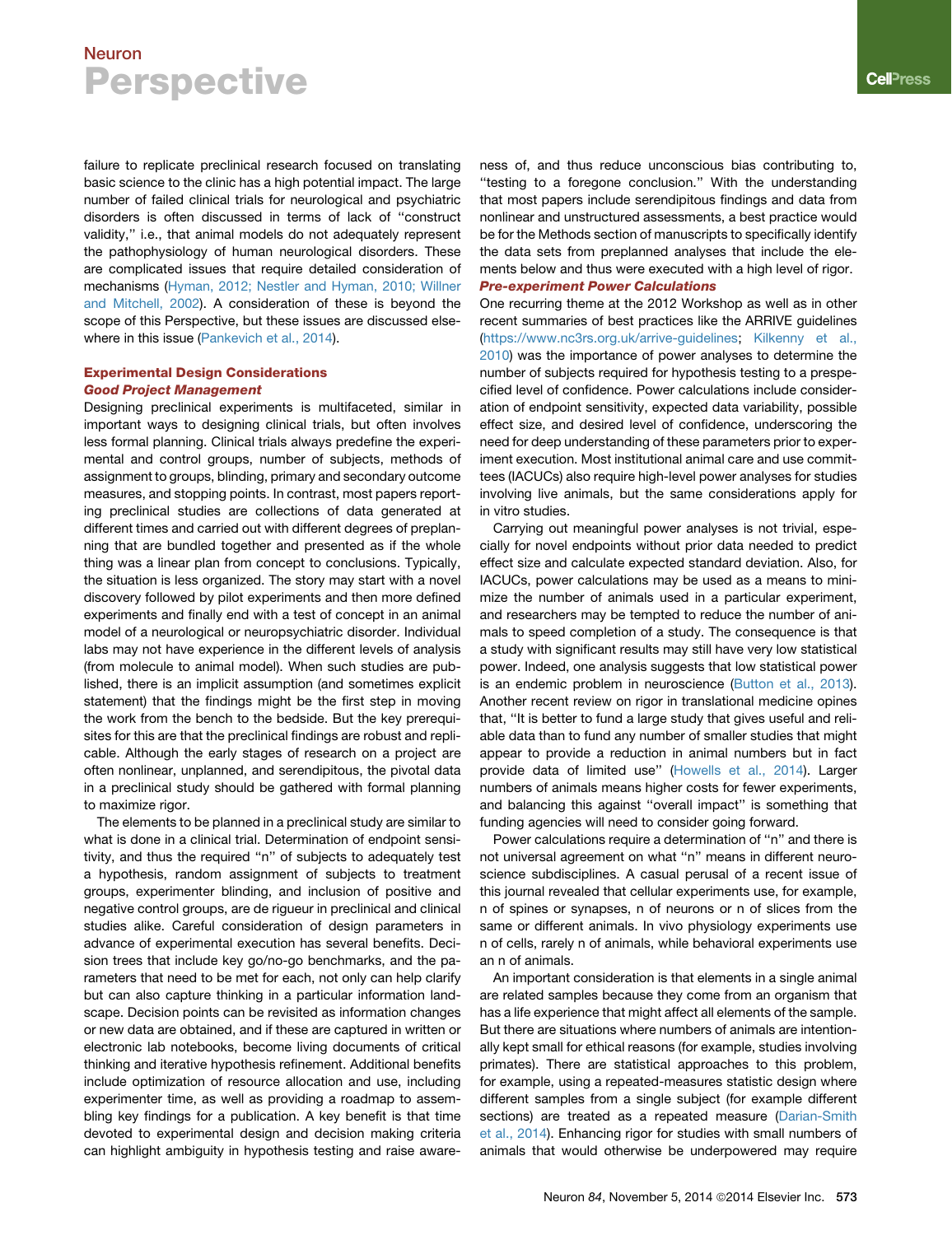failure to replicate preclinical research focused on translating basic science to the clinic has a high potential impact. The large number of failed clinical trials for neurological and psychiatric disorders is often discussed in terms of lack of ''construct validity,'' i.e., that animal models do not adequately represent the pathophysiology of human neurological disorders. These are complicated issues that require detailed consideration of mechanisms [\(Hyman, 2012; Nestler and Hyman, 2010; Willner](#page-9-10) [and Mitchell, 2002](#page-9-10)). A consideration of these is beyond the scope of this Perspective, but these issues are discussed elsewhere in this issue [\(Pankevich et al., 2014\)](#page-9-11).

# Experimental Design Considerations Good Project Management

Designing preclinical experiments is multifaceted, similar in important ways to designing clinical trials, but often involves less formal planning. Clinical trials always predefine the experimental and control groups, number of subjects, methods of assignment to groups, blinding, primary and secondary outcome measures, and stopping points. In contrast, most papers reporting preclinical studies are collections of data generated at different times and carried out with different degrees of preplanning that are bundled together and presented as if the whole thing was a linear plan from concept to conclusions. Typically, the situation is less organized. The story may start with a novel discovery followed by pilot experiments and then more defined experiments and finally end with a test of concept in an animal model of a neurological or neuropsychiatric disorder. Individual labs may not have experience in the different levels of analysis (from molecule to animal model). When such studies are published, there is an implicit assumption (and sometimes explicit statement) that the findings might be the first step in moving the work from the bench to the bedside. But the key prerequisites for this are that the preclinical findings are robust and replicable. Although the early stages of research on a project are often nonlinear, unplanned, and serendipitous, the pivotal data in a preclinical study should be gathered with formal planning to maximize rigor.

The elements to be planned in a preclinical study are similar to what is done in a clinical trial. Determination of endpoint sensitivity, and thus the required ''n'' of subjects to adequately test a hypothesis, random assignment of subjects to treatment groups, experimenter blinding, and inclusion of positive and negative control groups, are de rigueur in preclinical and clinical studies alike. Careful consideration of design parameters in advance of experimental execution has several benefits. Decision trees that include key go/no-go benchmarks, and the parameters that need to be met for each, not only can help clarify but can also capture thinking in a particular information landscape. Decision points can be revisited as information changes or new data are obtained, and if these are captured in written or electronic lab notebooks, become living documents of critical thinking and iterative hypothesis refinement. Additional benefits include optimization of resource allocation and use, including experimenter time, as well as providing a roadmap to assembling key findings for a publication. A key benefit is that time devoted to experimental design and decision making criteria can highlight ambiguity in hypothesis testing and raise awareness of, and thus reduce unconscious bias contributing to, "testing to a foregone conclusion." With the understanding that most papers include serendipitous findings and data from nonlinear and unstructured assessments, a best practice would be for the Methods section of manuscripts to specifically identify the data sets from preplanned analyses that include the elements below and thus were executed with a high level of rigor. Pre-experiment Power Calculations

# One recurring theme at the 2012 Workshop as well as in other recent summaries of best practices like the ARRIVE guidelines [\(https://www.nc3rs.org.uk/arrive-guidelines;](https://www.nc3rs.org.uk/arrive-guidelines) [Kilkenny et al.,](#page-9-12) [2010\)](#page-9-12) was the importance of power analyses to determine the number of subjects required for hypothesis testing to a prespecified level of confidence. Power calculations include consider-

ation of endpoint sensitivity, expected data variability, possible effect size, and desired level of confidence, underscoring the need for deep understanding of these parameters prior to experiment execution. Most institutional animal care and use committees (IACUCs) also require high-level power analyses for studies involving live animals, but the same considerations apply for in vitro studies.

Carrying out meaningful power analyses is not trivial, especially for novel endpoints without prior data needed to predict effect size and calculate expected standard deviation. Also, for IACUCs, power calculations may be used as a means to minimize the number of animals used in a particular experiment, and researchers may be tempted to reduce the number of animals to speed completion of a study. The consequence is that a study with significant results may still have very low statistical power. Indeed, one analysis suggests that low statistical power is an endemic problem in neuroscience [\(Button et al., 2013\)](#page-9-13). Another recent review on rigor in translational medicine opines that, ''It is better to fund a large study that gives useful and reliable data than to fund any number of smaller studies that might appear to provide a reduction in animal numbers but in fact provide data of limited use'' [\(Howells et al., 2014](#page-9-7)). Larger numbers of animals means higher costs for fewer experiments, and balancing this against ''overall impact'' is something that funding agencies will need to consider going forward.

Power calculations require a determination of ''n'' and there is not universal agreement on what ''n'' means in different neuroscience subdisciplines. A casual perusal of a recent issue of this journal revealed that cellular experiments use, for example, n of spines or synapses, n of neurons or n of slices from the same or different animals. In vivo physiology experiments use n of cells, rarely n of animals, while behavioral experiments use an n of animals.

An important consideration is that elements in a single animal are related samples because they come from an organism that has a life experience that might affect all elements of the sample. But there are situations where numbers of animals are intentionally kept small for ethical reasons (for example, studies involving primates). There are statistical approaches to this problem, for example, using a repeated-measures statistic design where different samples from a single subject (for example different sections) are treated as a repeated measure ([Darian-Smith](#page-9-14) [et al., 2014\)](#page-9-14). Enhancing rigor for studies with small numbers of animals that would otherwise be underpowered may require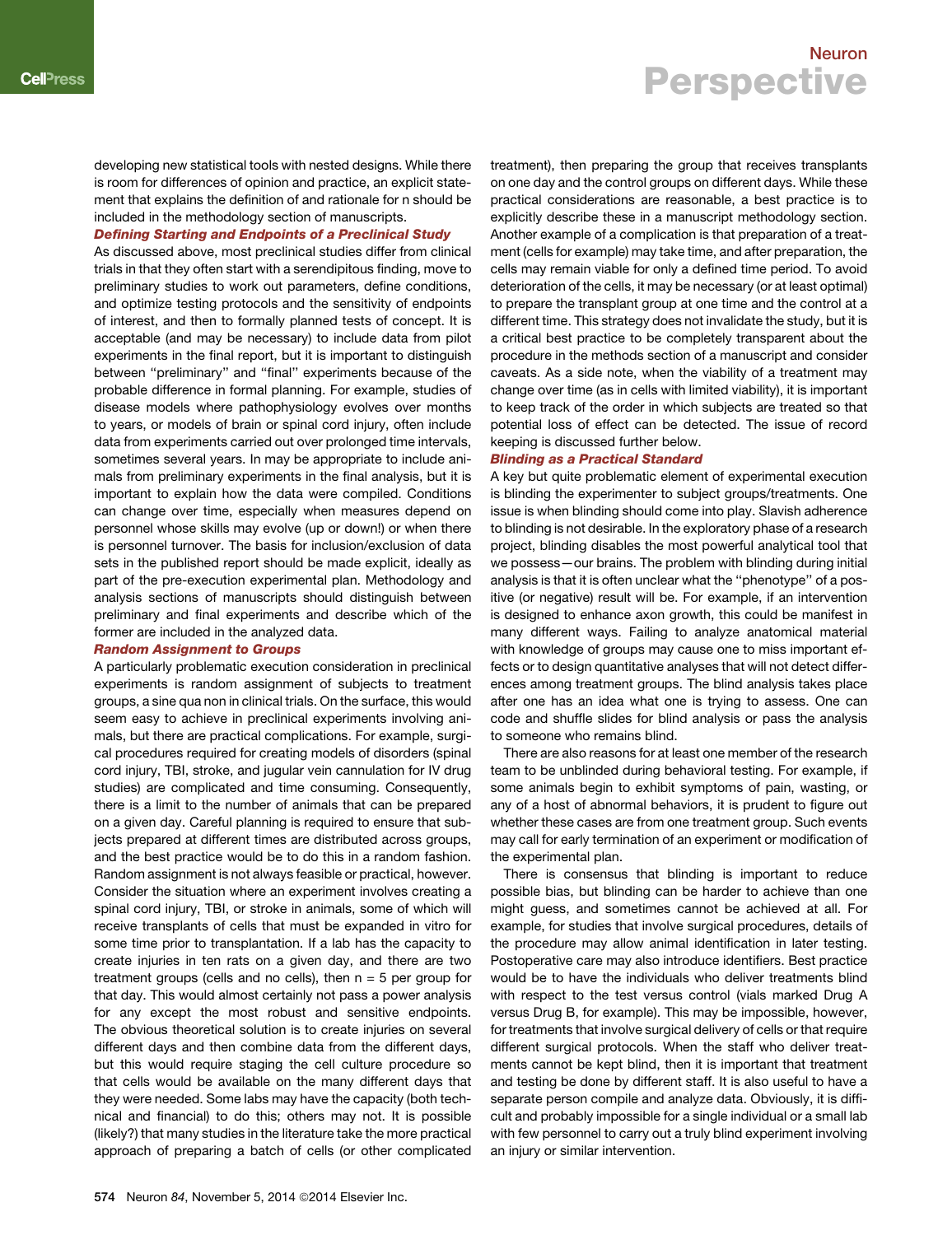developing new statistical tools with nested designs. While there is room for differences of opinion and practice, an explicit statement that explains the definition of and rationale for n should be included in the methodology section of manuscripts.

### Defining Starting and Endpoints of a Preclinical Study

As discussed above, most preclinical studies differ from clinical trials in that they often start with a serendipitous finding, move to preliminary studies to work out parameters, define conditions, and optimize testing protocols and the sensitivity of endpoints of interest, and then to formally planned tests of concept. It is acceptable (and may be necessary) to include data from pilot experiments in the final report, but it is important to distinguish between ''preliminary'' and ''final'' experiments because of the probable difference in formal planning. For example, studies of disease models where pathophysiology evolves over months to years, or models of brain or spinal cord injury, often include data from experiments carried out over prolonged time intervals, sometimes several years. In may be appropriate to include animals from preliminary experiments in the final analysis, but it is important to explain how the data were compiled. Conditions can change over time, especially when measures depend on personnel whose skills may evolve (up or down!) or when there is personnel turnover. The basis for inclusion/exclusion of data sets in the published report should be made explicit, ideally as part of the pre-execution experimental plan. Methodology and analysis sections of manuscripts should distinguish between preliminary and final experiments and describe which of the former are included in the analyzed data.

### Random Assignment to Groups

A particularly problematic execution consideration in preclinical experiments is random assignment of subjects to treatment groups, a sine qua non in clinical trials. On the surface, this would seem easy to achieve in preclinical experiments involving animals, but there are practical complications. For example, surgical procedures required for creating models of disorders (spinal cord injury, TBI, stroke, and jugular vein cannulation for IV drug studies) are complicated and time consuming. Consequently, there is a limit to the number of animals that can be prepared on a given day. Careful planning is required to ensure that subjects prepared at different times are distributed across groups, and the best practice would be to do this in a random fashion. Random assignment is not always feasible or practical, however. Consider the situation where an experiment involves creating a spinal cord injury, TBI, or stroke in animals, some of which will receive transplants of cells that must be expanded in vitro for some time prior to transplantation. If a lab has the capacity to create injuries in ten rats on a given day, and there are two treatment groups (cells and no cells), then  $n = 5$  per group for that day. This would almost certainly not pass a power analysis for any except the most robust and sensitive endpoints. The obvious theoretical solution is to create injuries on several different days and then combine data from the different days, but this would require staging the cell culture procedure so that cells would be available on the many different days that they were needed. Some labs may have the capacity (both technical and financial) to do this; others may not. It is possible (likely?) that many studies in the literature take the more practical approach of preparing a batch of cells (or other complicated

treatment), then preparing the group that receives transplants on one day and the control groups on different days. While these practical considerations are reasonable, a best practice is to explicitly describe these in a manuscript methodology section. Another example of a complication is that preparation of a treatment (cells for example) may take time, and after preparation, the cells may remain viable for only a defined time period. To avoid deterioration of the cells, it may be necessary (or at least optimal) to prepare the transplant group at one time and the control at a different time. This strategy does not invalidate the study, but it is a critical best practice to be completely transparent about the procedure in the methods section of a manuscript and consider caveats. As a side note, when the viability of a treatment may change over time (as in cells with limited viability), it is important to keep track of the order in which subjects are treated so that potential loss of effect can be detected. The issue of record keeping is discussed further below.

### Blinding as a Practical Standard

A key but quite problematic element of experimental execution is blinding the experimenter to subject groups/treatments. One issue is when blinding should come into play. Slavish adherence to blinding is not desirable. In the exploratory phase of a research project, blinding disables the most powerful analytical tool that we possess—our brains. The problem with blinding during initial analysis is that it is often unclear what the ''phenotype'' of a positive (or negative) result will be. For example, if an intervention is designed to enhance axon growth, this could be manifest in many different ways. Failing to analyze anatomical material with knowledge of groups may cause one to miss important effects or to design quantitative analyses that will not detect differences among treatment groups. The blind analysis takes place after one has an idea what one is trying to assess. One can code and shuffle slides for blind analysis or pass the analysis to someone who remains blind.

There are also reasons for at least one member of the research team to be unblinded during behavioral testing. For example, if some animals begin to exhibit symptoms of pain, wasting, or any of a host of abnormal behaviors, it is prudent to figure out whether these cases are from one treatment group. Such events may call for early termination of an experiment or modification of the experimental plan.

There is consensus that blinding is important to reduce possible bias, but blinding can be harder to achieve than one might guess, and sometimes cannot be achieved at all. For example, for studies that involve surgical procedures, details of the procedure may allow animal identification in later testing. Postoperative care may also introduce identifiers. Best practice would be to have the individuals who deliver treatments blind with respect to the test versus control (vials marked Drug A versus Drug B, for example). This may be impossible, however, for treatments that involve surgical delivery of cells or that require different surgical protocols. When the staff who deliver treatments cannot be kept blind, then it is important that treatment and testing be done by different staff. It is also useful to have a separate person compile and analyze data. Obviously, it is difficult and probably impossible for a single individual or a small lab with few personnel to carry out a truly blind experiment involving an injury or similar intervention.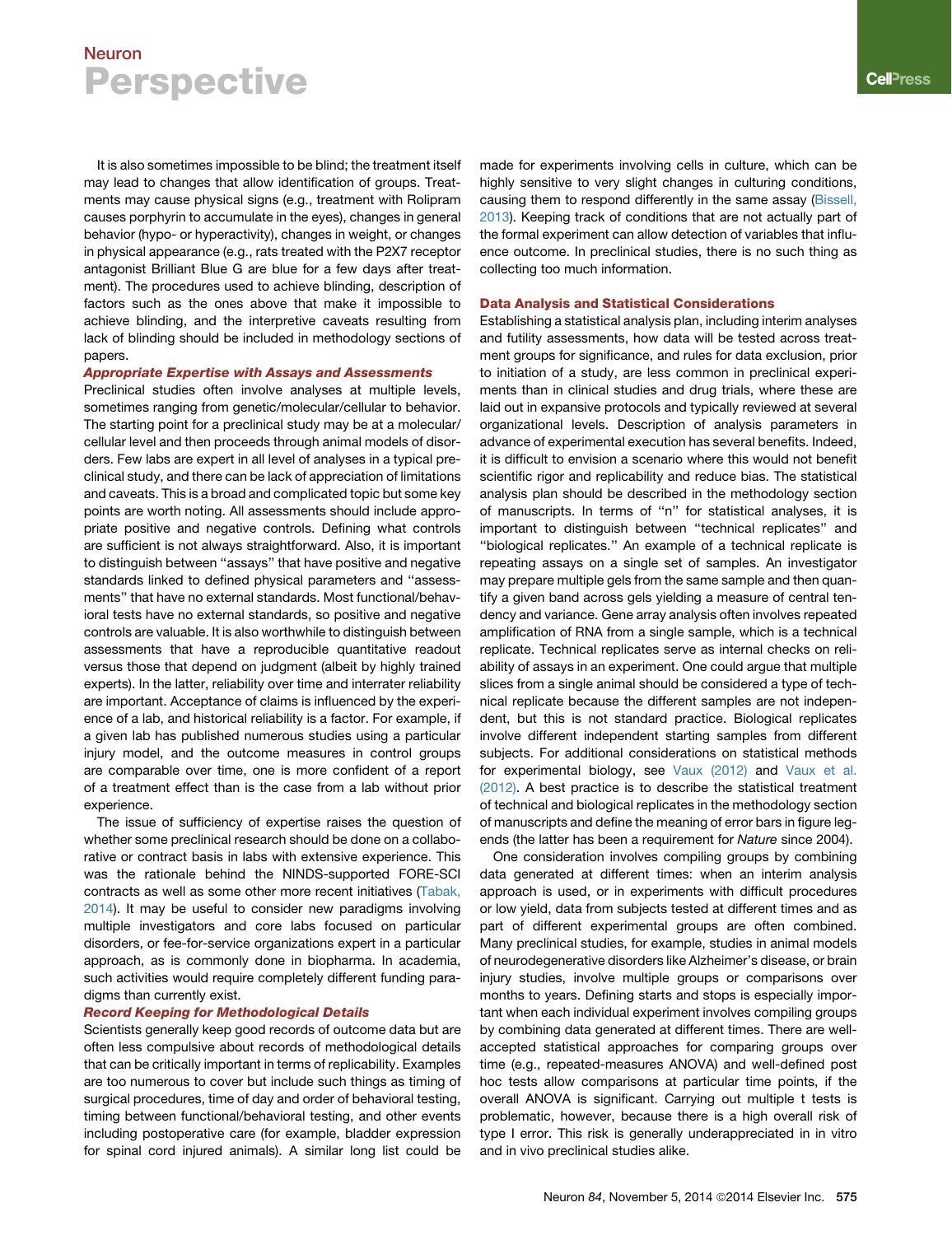It is also sometimes impossible to be blind; the treatment itself may lead to changes that allow identification of groups. Treatments may cause physical signs (e.g., treatment with Rolipram causes porphyrin to accumulate in the eyes), changes in general behavior (hypo- or hyperactivity), changes in weight, or changes in physical appearance (e.g., rats treated with the P2X7 receptor antagonist Brilliant Blue G are blue for a few days after treatment). The procedures used to achieve blinding, description of factors such as the ones above that make it impossible to achieve blinding, and the interpretive caveats resulting from lack of blinding should be included in methodology sections of papers.

### Appropriate Expertise with Assays and Assessments

Preclinical studies often involve analyses at multiple levels, sometimes ranging from genetic/molecular/cellular to behavior. The starting point for a preclinical study may be at a molecular/ cellular level and then proceeds through animal models of disorders. Few labs are expert in all level of analyses in a typical preclinical study, and there can be lack of appreciation of limitations and caveats. This is a broad and complicated topic but some key points are worth noting. All assessments should include appropriate positive and negative controls. Defining what controls are sufficient is not always straightforward. Also, it is important to distinguish between ''assays'' that have positive and negative standards linked to defined physical parameters and ''assessments'' that have no external standards. Most functional/behavioral tests have no external standards, so positive and negative controls are valuable. It is also worthwhile to distinguish between assessments that have a reproducible quantitative readout versus those that depend on judgment (albeit by highly trained experts). In the latter, reliability over time and interrater reliability are important. Acceptance of claims is influenced by the experience of a lab, and historical reliability is a factor. For example, if a given lab has published numerous studies using a particular injury model, and the outcome measures in control groups are comparable over time, one is more confident of a report of a treatment effect than is the case from a lab without prior experience.

The issue of sufficiency of expertise raises the question of whether some preclinical research should be done on a collaborative or contract basis in labs with extensive experience. This was the rationale behind the NINDS-supported FORE-SCI contracts as well as some other more recent initiatives [\(Tabak,](#page-9-6) [2014\)](#page-9-6). It may be useful to consider new paradigms involving multiple investigators and core labs focused on particular disorders, or fee-for-service organizations expert in a particular approach, as is commonly done in biopharma. In academia, such activities would require completely different funding paradigms than currently exist.

### Record Keeping for Methodological Details

Scientists generally keep good records of outcome data but are often less compulsive about records of methodological details that can be critically important in terms of replicability. Examples are too numerous to cover but include such things as timing of surgical procedures, time of day and order of behavioral testing, timing between functional/behavioral testing, and other events including postoperative care (for example, bladder expression for spinal cord injured animals). A similar long list could be made for experiments involving cells in culture, which can be highly sensitive to very slight changes in culturing conditions, causing them to respond differently in the same assay [\(Bissell,](#page-9-15) [2013\)](#page-9-15). Keeping track of conditions that are not actually part of the formal experiment can allow detection of variables that influence outcome. In preclinical studies, there is no such thing as collecting too much information.

#### Data Analysis and Statistical Considerations

Establishing a statistical analysis plan, including interim analyses and futility assessments, how data will be tested across treatment groups for significance, and rules for data exclusion, prior to initiation of a study, are less common in preclinical experiments than in clinical studies and drug trials, where these are laid out in expansive protocols and typically reviewed at several organizational levels. Description of analysis parameters in advance of experimental execution has several benefits. Indeed, it is difficult to envision a scenario where this would not benefit scientific rigor and replicability and reduce bias. The statistical analysis plan should be described in the methodology section of manuscripts. In terms of ''n'' for statistical analyses, it is important to distinguish between ''technical replicates'' and ''biological replicates.'' An example of a technical replicate is repeating assays on a single set of samples. An investigator may prepare multiple gels from the same sample and then quantify a given band across gels yielding a measure of central tendency and variance. Gene array analysis often involves repeated amplification of RNA from a single sample, which is a technical replicate. Technical replicates serve as internal checks on reliability of assays in an experiment. One could argue that multiple slices from a single animal should be considered a type of technical replicate because the different samples are not independent, but this is not standard practice. Biological replicates involve different independent starting samples from different subjects. For additional considerations on statistical methods for experimental biology, see [Vaux \(2012\)](#page-9-16) and [Vaux et al.](#page-9-17) [\(2012\)](#page-9-17). A best practice is to describe the statistical treatment of technical and biological replicates in the methodology section of manuscripts and define the meaning of error bars in figure legends (the latter has been a requirement for *Nature* since 2004).

One consideration involves compiling groups by combining data generated at different times: when an interim analysis approach is used, or in experiments with difficult procedures or low yield, data from subjects tested at different times and as part of different experimental groups are often combined. Many preclinical studies, for example, studies in animal models of neurodegenerative disorders like Alzheimer's disease, or brain injury studies, involve multiple groups or comparisons over months to years. Defining starts and stops is especially important when each individual experiment involves compiling groups by combining data generated at different times. There are wellaccepted statistical approaches for comparing groups over time (e.g., repeated-measures ANOVA) and well-defined post hoc tests allow comparisons at particular time points, if the overall ANOVA is significant. Carrying out multiple t tests is problematic, however, because there is a high overall risk of type I error. This risk is generally underappreciated in in vitro and in vivo preclinical studies alike.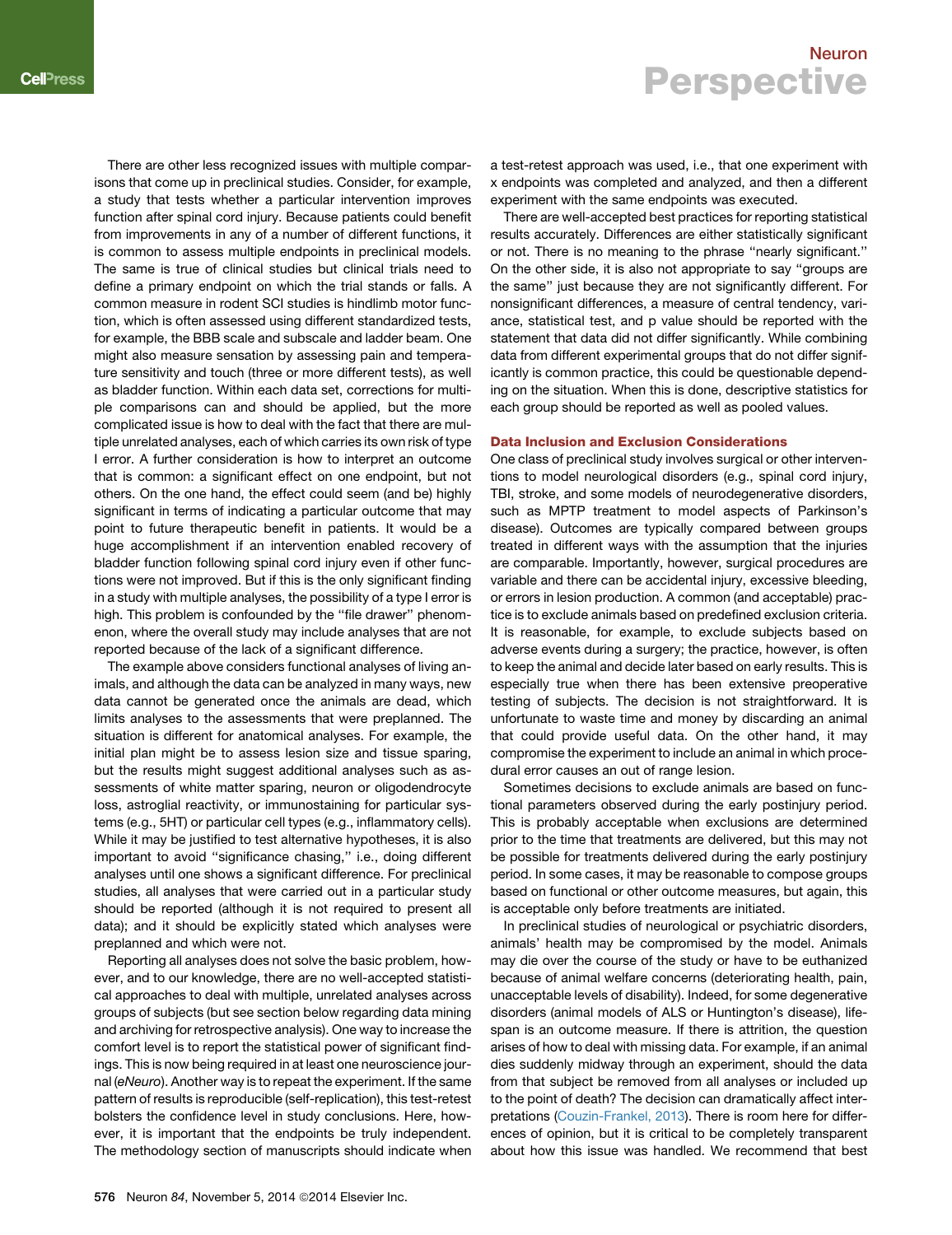There are other less recognized issues with multiple comparisons that come up in preclinical studies. Consider, for example, a study that tests whether a particular intervention improves function after spinal cord injury. Because patients could benefit from improvements in any of a number of different functions, it is common to assess multiple endpoints in preclinical models. The same is true of clinical studies but clinical trials need to define a primary endpoint on which the trial stands or falls. A common measure in rodent SCI studies is hindlimb motor function, which is often assessed using different standardized tests, for example, the BBB scale and subscale and ladder beam. One might also measure sensation by assessing pain and temperature sensitivity and touch (three or more different tests), as well as bladder function. Within each data set, corrections for multiple comparisons can and should be applied, but the more complicated issue is how to deal with the fact that there are multiple unrelated analyses, each of which carries its own risk of type I error. A further consideration is how to interpret an outcome that is common: a significant effect on one endpoint, but not others. On the one hand, the effect could seem (and be) highly significant in terms of indicating a particular outcome that may point to future therapeutic benefit in patients. It would be a huge accomplishment if an intervention enabled recovery of bladder function following spinal cord injury even if other functions were not improved. But if this is the only significant finding in a study with multiple analyses, the possibility of a type I error is high. This problem is confounded by the ''file drawer'' phenomenon, where the overall study may include analyses that are not reported because of the lack of a significant difference.

The example above considers functional analyses of living animals, and although the data can be analyzed in many ways, new data cannot be generated once the animals are dead, which limits analyses to the assessments that were preplanned. The situation is different for anatomical analyses. For example, the initial plan might be to assess lesion size and tissue sparing, but the results might suggest additional analyses such as assessments of white matter sparing, neuron or oligodendrocyte loss, astroglial reactivity, or immunostaining for particular systems (e.g., 5HT) or particular cell types (e.g., inflammatory cells). While it may be justified to test alternative hypotheses, it is also important to avoid ''significance chasing,'' i.e., doing different analyses until one shows a significant difference. For preclinical studies, all analyses that were carried out in a particular study should be reported (although it is not required to present all data); and it should be explicitly stated which analyses were preplanned and which were not.

Reporting all analyses does not solve the basic problem, however, and to our knowledge, there are no well-accepted statistical approaches to deal with multiple, unrelated analyses across groups of subjects (but see section below regarding data mining and archiving for retrospective analysis). One way to increase the comfort level is to report the statistical power of significant findings. This is now being required in at least one neuroscience journal (*eNeuro*). Another way is to repeat the experiment. If the same pattern of results is reproducible (self-replication), this test-retest bolsters the confidence level in study conclusions. Here, however, it is important that the endpoints be truly independent. The methodology section of manuscripts should indicate when

# Neuron **Perspective**

a test-retest approach was used, i.e., that one experiment with x endpoints was completed and analyzed, and then a different experiment with the same endpoints was executed.

There are well-accepted best practices for reporting statistical results accurately. Differences are either statistically significant or not. There is no meaning to the phrase ''nearly significant.'' On the other side, it is also not appropriate to say ''groups are the same'' just because they are not significantly different. For nonsignificant differences, a measure of central tendency, variance, statistical test, and p value should be reported with the statement that data did not differ significantly. While combining data from different experimental groups that do not differ significantly is common practice, this could be questionable depending on the situation. When this is done, descriptive statistics for each group should be reported as well as pooled values.

#### Data Inclusion and Exclusion Considerations

One class of preclinical study involves surgical or other interventions to model neurological disorders (e.g., spinal cord injury, TBI, stroke, and some models of neurodegenerative disorders, such as MPTP treatment to model aspects of Parkinson's disease). Outcomes are typically compared between groups treated in different ways with the assumption that the injuries are comparable. Importantly, however, surgical procedures are variable and there can be accidental injury, excessive bleeding, or errors in lesion production. A common (and acceptable) practice is to exclude animals based on predefined exclusion criteria. It is reasonable, for example, to exclude subjects based on adverse events during a surgery; the practice, however, is often to keep the animal and decide later based on early results. This is especially true when there has been extensive preoperative testing of subjects. The decision is not straightforward. It is unfortunate to waste time and money by discarding an animal that could provide useful data. On the other hand, it may compromise the experiment to include an animal in which procedural error causes an out of range lesion.

Sometimes decisions to exclude animals are based on functional parameters observed during the early postinjury period. This is probably acceptable when exclusions are determined prior to the time that treatments are delivered, but this may not be possible for treatments delivered during the early postinjury period. In some cases, it may be reasonable to compose groups based on functional or other outcome measures, but again, this is acceptable only before treatments are initiated.

In preclinical studies of neurological or psychiatric disorders, animals' health may be compromised by the model. Animals may die over the course of the study or have to be euthanized because of animal welfare concerns (deteriorating health, pain, unacceptable levels of disability). Indeed, for some degenerative disorders (animal models of ALS or Huntington's disease), lifespan is an outcome measure. If there is attrition, the question arises of how to deal with missing data. For example, if an animal dies suddenly midway through an experiment, should the data from that subject be removed from all analyses or included up to the point of death? The decision can dramatically affect interpretations [\(Couzin-Frankel, 2013](#page-9-18)). There is room here for differences of opinion, but it is critical to be completely transparent about how this issue was handled. We recommend that best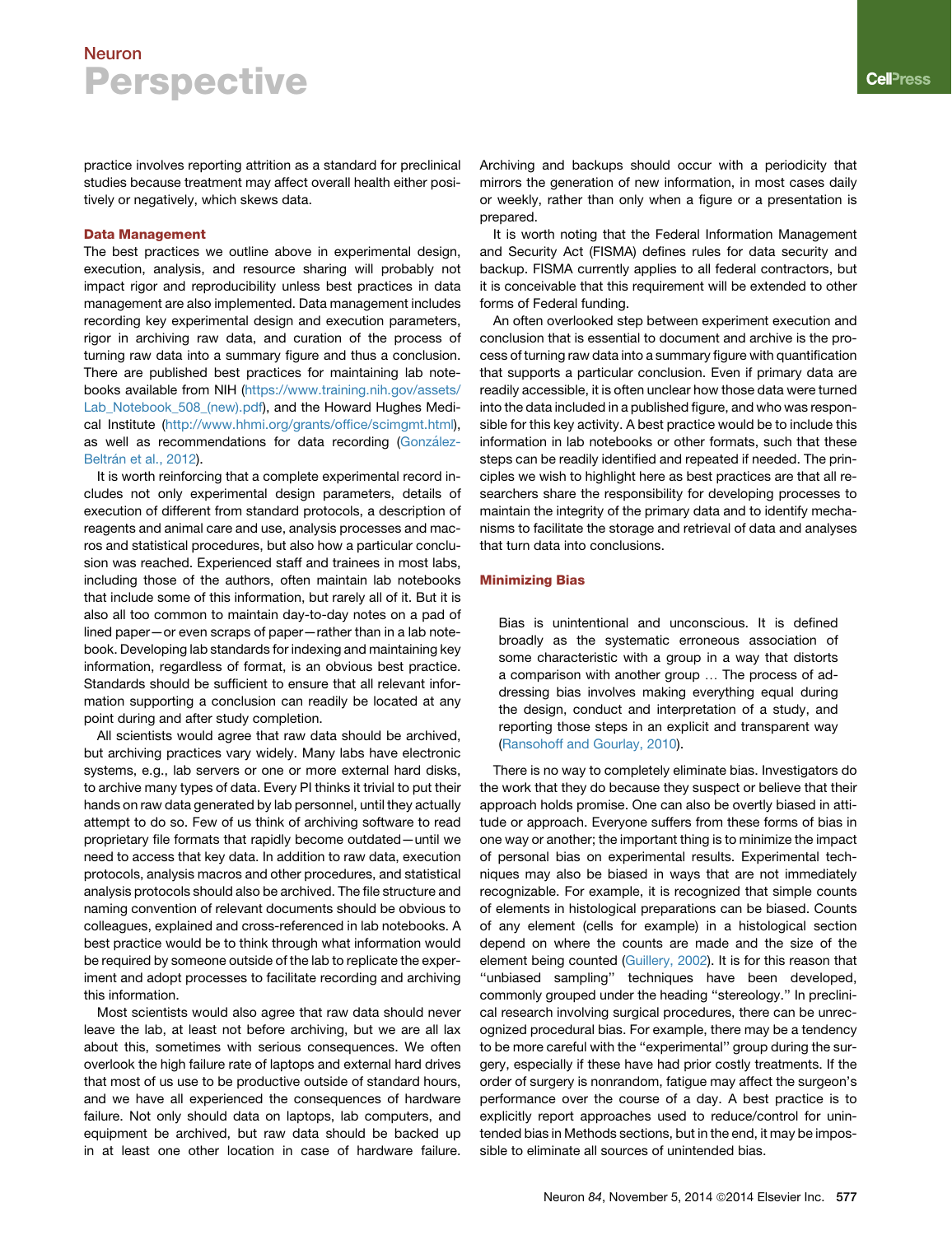practice involves reporting attrition as a standard for preclinical studies because treatment may affect overall health either positively or negatively, which skews data.

### Data Management

The best practices we outline above in experimental design, execution, analysis, and resource sharing will probably not impact rigor and reproducibility unless best practices in data management are also implemented. Data management includes recording key experimental design and execution parameters, rigor in archiving raw data, and curation of the process of turning raw data into a summary figure and thus a conclusion. There are published best practices for maintaining lab notebooks available from NIH [\(https://www.training.nih.gov/assets/](https://www.training.nih.gov/assets/Lab_Notebook_508_(new).pdf) Lab Notebook 508 (new).pdf), and the Howard Hughes Medical Institute ([http://www.hhmi.org/grants/office/scimgmt.html\),](http://www.hhmi.org/grants/office/scimgmt.html) as well as recommendations for data recording (GonzálezBeltrá[n et al., 2012](#page-9-19)).

It is worth reinforcing that a complete experimental record includes not only experimental design parameters, details of execution of different from standard protocols, a description of reagents and animal care and use, analysis processes and macros and statistical procedures, but also how a particular conclusion was reached. Experienced staff and trainees in most labs, including those of the authors, often maintain lab notebooks that include some of this information, but rarely all of it. But it is also all too common to maintain day-to-day notes on a pad of lined paper—or even scraps of paper—rather than in a lab notebook. Developing lab standards for indexing and maintaining key information, regardless of format, is an obvious best practice. Standards should be sufficient to ensure that all relevant information supporting a conclusion can readily be located at any point during and after study completion.

All scientists would agree that raw data should be archived, but archiving practices vary widely. Many labs have electronic systems, e.g., lab servers or one or more external hard disks, to archive many types of data. Every PI thinks it trivial to put their hands on raw data generated by lab personnel, until they actually attempt to do so. Few of us think of archiving software to read proprietary file formats that rapidly become outdated—until we need to access that key data. In addition to raw data, execution protocols, analysis macros and other procedures, and statistical analysis protocols should also be archived. The file structure and naming convention of relevant documents should be obvious to colleagues, explained and cross-referenced in lab notebooks. A best practice would be to think through what information would be required by someone outside of the lab to replicate the experiment and adopt processes to facilitate recording and archiving this information.

Most scientists would also agree that raw data should never leave the lab, at least not before archiving, but we are all lax about this, sometimes with serious consequences. We often overlook the high failure rate of laptops and external hard drives that most of us use to be productive outside of standard hours, and we have all experienced the consequences of hardware failure. Not only should data on laptops, lab computers, and equipment be archived, but raw data should be backed up in at least one other location in case of hardware failure. Archiving and backups should occur with a periodicity that mirrors the generation of new information, in most cases daily or weekly, rather than only when a figure or a presentation is prepared.

It is worth noting that the Federal Information Management and Security Act (FISMA) defines rules for data security and backup. FISMA currently applies to all federal contractors, but it is conceivable that this requirement will be extended to other forms of Federal funding.

An often overlooked step between experiment execution and conclusion that is essential to document and archive is the process of turning raw data into a summary figure with quantification that supports a particular conclusion. Even if primary data are readily accessible, it is often unclear how those data were turned into the data included in a published figure, and who was responsible for this key activity. A best practice would be to include this information in lab notebooks or other formats, such that these steps can be readily identified and repeated if needed. The principles we wish to highlight here as best practices are that all researchers share the responsibility for developing processes to maintain the integrity of the primary data and to identify mechanisms to facilitate the storage and retrieval of data and analyses that turn data into conclusions.

#### Minimizing Bias

Bias is unintentional and unconscious. It is defined broadly as the systematic erroneous association of some characteristic with a group in a way that distorts a comparison with another group ... The process of addressing bias involves making everything equal during the design, conduct and interpretation of a study, and reporting those steps in an explicit and transparent way [\(Ransohoff and Gourlay, 2010\)](#page-9-20).

There is no way to completely eliminate bias. Investigators do the work that they do because they suspect or believe that their approach holds promise. One can also be overtly biased in attitude or approach. Everyone suffers from these forms of bias in one way or another; the important thing is to minimize the impact of personal bias on experimental results. Experimental techniques may also be biased in ways that are not immediately recognizable. For example, it is recognized that simple counts of elements in histological preparations can be biased. Counts of any element (cells for example) in a histological section depend on where the counts are made and the size of the element being counted [\(Guillery, 2002](#page-9-21)). It is for this reason that ''unbiased sampling'' techniques have been developed, commonly grouped under the heading ''stereology.'' In preclinical research involving surgical procedures, there can be unrecognized procedural bias. For example, there may be a tendency to be more careful with the ''experimental'' group during the surgery, especially if these have had prior costly treatments. If the order of surgery is nonrandom, fatigue may affect the surgeon's performance over the course of a day. A best practice is to explicitly report approaches used to reduce/control for unintended bias in Methods sections, but in the end, it may be impossible to eliminate all sources of unintended bias.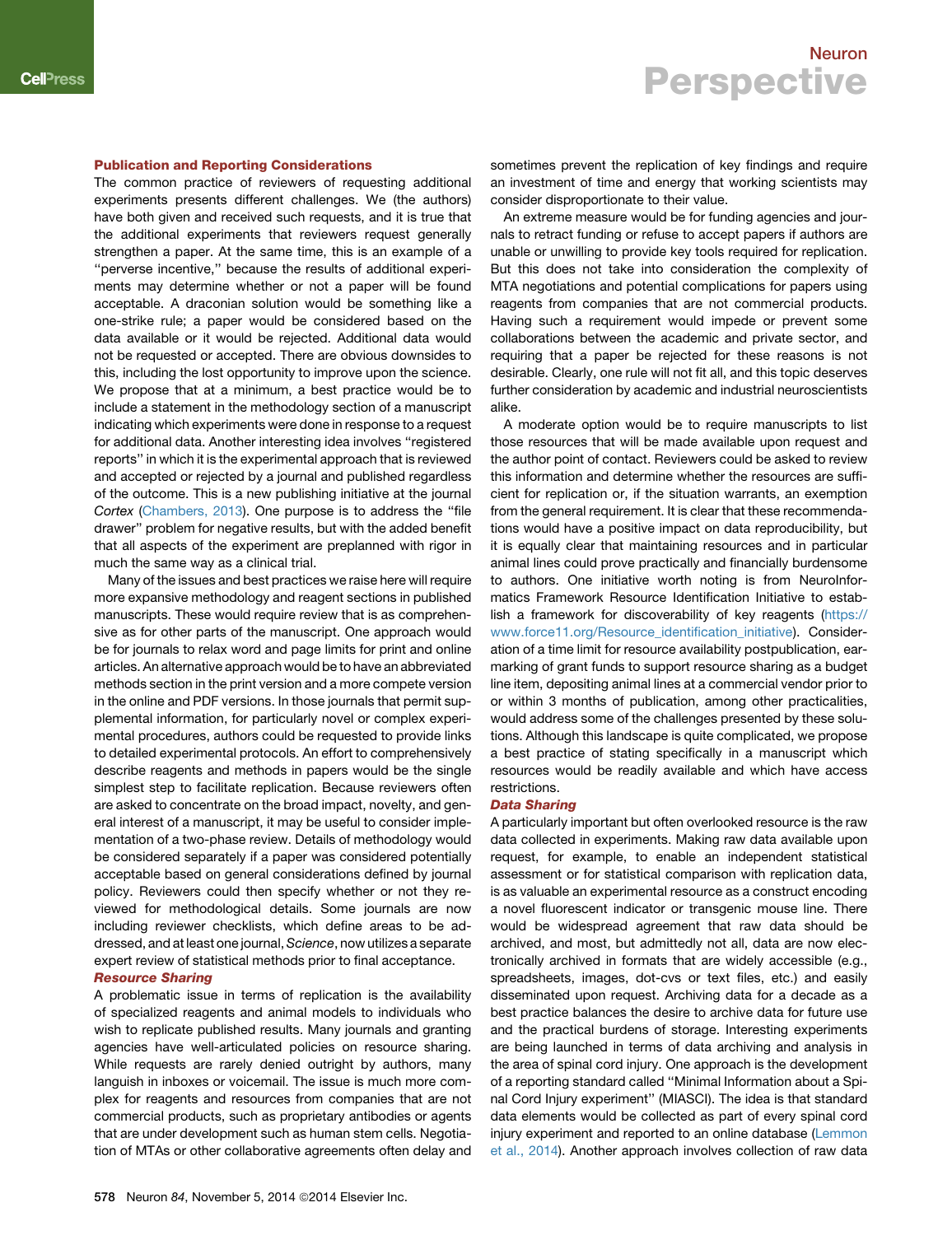# Publication and Reporting Considerations

The common practice of reviewers of requesting additional experiments presents different challenges. We (the authors) have both given and received such requests, and it is true that the additional experiments that reviewers request generally strengthen a paper. At the same time, this is an example of a ''perverse incentive,'' because the results of additional experiments may determine whether or not a paper will be found acceptable. A draconian solution would be something like a one-strike rule; a paper would be considered based on the data available or it would be rejected. Additional data would not be requested or accepted. There are obvious downsides to this, including the lost opportunity to improve upon the science. We propose that at a minimum, a best practice would be to include a statement in the methodology section of a manuscript indicating which experiments were done in response to a request for additional data. Another interesting idea involves ''registered reports'' in which it is the experimental approach that is reviewed and accepted or rejected by a journal and published regardless of the outcome. This is a new publishing initiative at the journal *Cortex* [\(Chambers, 2013\)](#page-9-22). One purpose is to address the ''file drawer'' problem for negative results, but with the added benefit that all aspects of the experiment are preplanned with rigor in much the same way as a clinical trial.

Many of the issues and best practices we raise here will require more expansive methodology and reagent sections in published manuscripts. These would require review that is as comprehensive as for other parts of the manuscript. One approach would be for journals to relax word and page limits for print and online articles. An alternative approach would be to have an abbreviated methods section in the print version and a more compete version in the online and PDF versions. In those journals that permit supplemental information, for particularly novel or complex experimental procedures, authors could be requested to provide links to detailed experimental protocols. An effort to comprehensively describe reagents and methods in papers would be the single simplest step to facilitate replication. Because reviewers often are asked to concentrate on the broad impact, novelty, and general interest of a manuscript, it may be useful to consider implementation of a two-phase review. Details of methodology would be considered separately if a paper was considered potentially acceptable based on general considerations defined by journal policy. Reviewers could then specify whether or not they reviewed for methodological details. Some journals are now including reviewer checklists, which define areas to be addressed, and at least one journal,*Science*, now utilizes a separate expert review of statistical methods prior to final acceptance.

# Resource Sharing

A problematic issue in terms of replication is the availability of specialized reagents and animal models to individuals who wish to replicate published results. Many journals and granting agencies have well-articulated policies on resource sharing. While requests are rarely denied outright by authors, many languish in inboxes or voicemail. The issue is much more complex for reagents and resources from companies that are not commercial products, such as proprietary antibodies or agents that are under development such as human stem cells. Negotiation of MTAs or other collaborative agreements often delay and

sometimes prevent the replication of key findings and require an investment of time and energy that working scientists may consider disproportionate to their value.

An extreme measure would be for funding agencies and journals to retract funding or refuse to accept papers if authors are unable or unwilling to provide key tools required for replication. But this does not take into consideration the complexity of MTA negotiations and potential complications for papers using reagents from companies that are not commercial products. Having such a requirement would impede or prevent some collaborations between the academic and private sector, and requiring that a paper be rejected for these reasons is not desirable. Clearly, one rule will not fit all, and this topic deserves further consideration by academic and industrial neuroscientists alike.

A moderate option would be to require manuscripts to list those resources that will be made available upon request and the author point of contact. Reviewers could be asked to review this information and determine whether the resources are sufficient for replication or, if the situation warrants, an exemption from the general requirement. It is clear that these recommendations would have a positive impact on data reproducibility, but it is equally clear that maintaining resources and in particular animal lines could prove practically and financially burdensome to authors. One initiative worth noting is from NeuroInformatics Framework Resource Identification Initiative to establish a framework for discoverability of key reagents ([https://](https://www.force11.org/Resource_identification_initiative) [www.force11.org/Resource\\_identification\\_initiative\). C](https://www.force11.org/Resource_identification_initiative)onsideration of a time limit for resource availability postpublication, earmarking of grant funds to support resource sharing as a budget line item, depositing animal lines at a commercial vendor prior to or within 3 months of publication, among other practicalities, would address some of the challenges presented by these solutions. Although this landscape is quite complicated, we propose a best practice of stating specifically in a manuscript which resources would be readily available and which have access restrictions.

### Data Sharing

A particularly important but often overlooked resource is the raw data collected in experiments. Making raw data available upon request, for example, to enable an independent statistical assessment or for statistical comparison with replication data, is as valuable an experimental resource as a construct encoding a novel fluorescent indicator or transgenic mouse line. There would be widespread agreement that raw data should be archived, and most, but admittedly not all, data are now electronically archived in formats that are widely accessible (e.g., spreadsheets, images, dot-cvs or text files, etc.) and easily disseminated upon request. Archiving data for a decade as a best practice balances the desire to archive data for future use and the practical burdens of storage. Interesting experiments are being launched in terms of data archiving and analysis in the area of spinal cord injury. One approach is the development of a reporting standard called ''Minimal Information about a Spinal Cord Injury experiment'' (MIASCI). The idea is that standard data elements would be collected as part of every spinal cord injury experiment and reported to an online database ([Lemmon](#page-9-23) [et al., 2014\)](#page-9-23). Another approach involves collection of raw data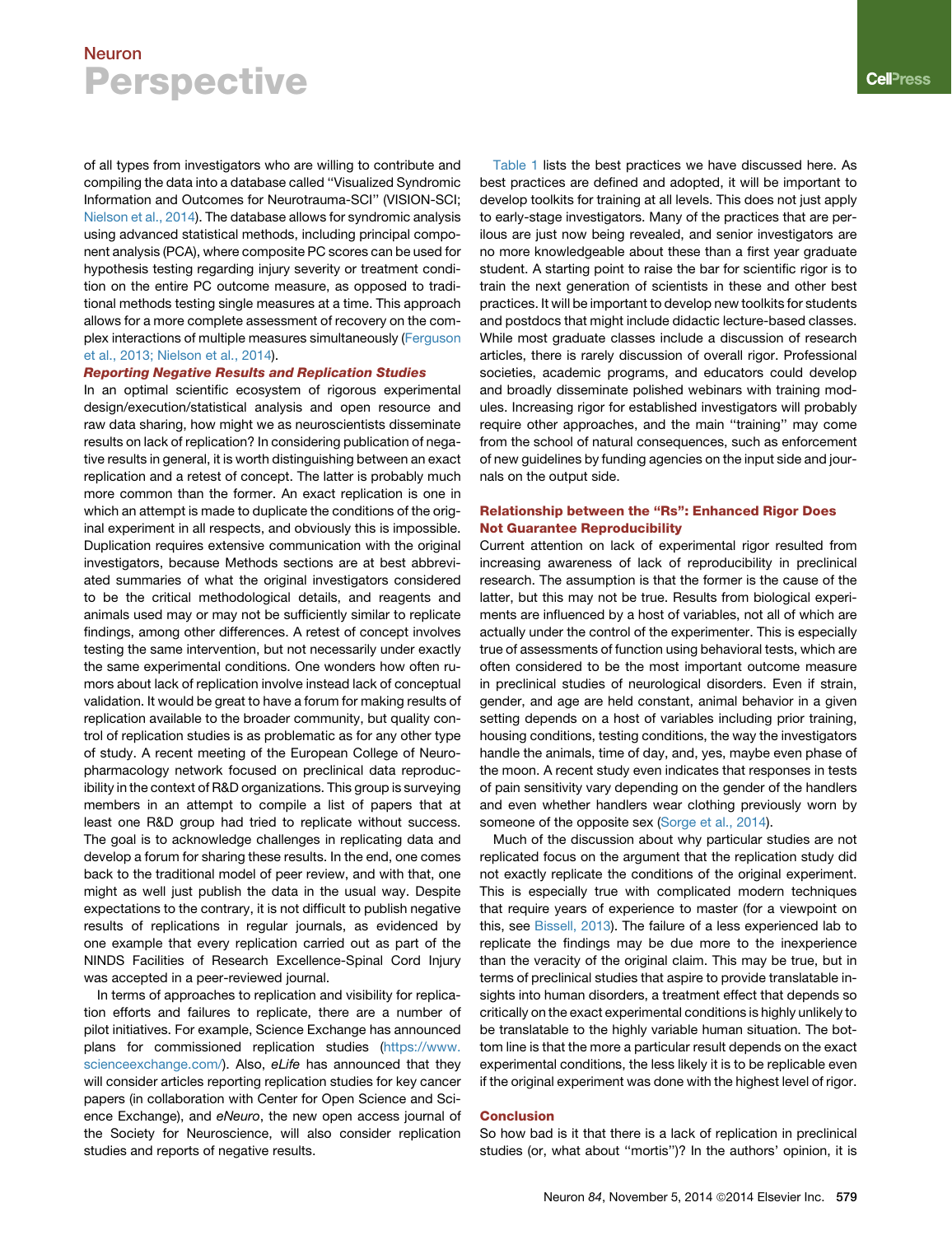of all types from investigators who are willing to contribute and compiling the data into a database called ''Visualized Syndromic Information and Outcomes for Neurotrauma-SCI'' (VISION-SCI; [Nielson et al., 2014\)](#page-9-24). The database allows for syndromic analysis using advanced statistical methods, including principal component analysis (PCA), where composite PC scores can be used for hypothesis testing regarding injury severity or treatment condition on the entire PC outcome measure, as opposed to traditional methods testing single measures at a time. This approach allows for a more complete assessment of recovery on the complex interactions of multiple measures simultaneously ([Ferguson](#page-9-25) [et al., 2013; Nielson et al., 2014](#page-9-25)).

#### Reporting Negative Results and Replication Studies

In an optimal scientific ecosystem of rigorous experimental design/execution/statistical analysis and open resource and raw data sharing, how might we as neuroscientists disseminate results on lack of replication? In considering publication of negative results in general, it is worth distinguishing between an exact replication and a retest of concept. The latter is probably much more common than the former. An exact replication is one in which an attempt is made to duplicate the conditions of the original experiment in all respects, and obviously this is impossible. Duplication requires extensive communication with the original investigators, because Methods sections are at best abbreviated summaries of what the original investigators considered to be the critical methodological details, and reagents and animals used may or may not be sufficiently similar to replicate findings, among other differences. A retest of concept involves testing the same intervention, but not necessarily under exactly the same experimental conditions. One wonders how often rumors about lack of replication involve instead lack of conceptual validation. It would be great to have a forum for making results of replication available to the broader community, but quality control of replication studies is as problematic as for any other type of study. A recent meeting of the European College of Neuropharmacology network focused on preclinical data reproducibility in the context of R&D organizations. This group is surveying members in an attempt to compile a list of papers that at least one R&D group had tried to replicate without success. The goal is to acknowledge challenges in replicating data and develop a forum for sharing these results. In the end, one comes back to the traditional model of peer review, and with that, one might as well just publish the data in the usual way. Despite expectations to the contrary, it is not difficult to publish negative results of replications in regular journals, as evidenced by one example that every replication carried out as part of the NINDS Facilities of Research Excellence-Spinal Cord Injury was accepted in a peer-reviewed journal.

In terms of approaches to replication and visibility for replication efforts and failures to replicate, there are a number of pilot initiatives. For example, Science Exchange has announced plans for commissioned replication studies [\(https://www.](https://www.scienceexchange.com/) [scienceexchange.com/\). A](https://www.scienceexchange.com/)lso, *eLife* has announced that they will consider articles reporting replication studies for key cancer papers (in collaboration with Center for Open Science and Science Exchange), and *eNeuro*, the new open access journal of the Society for Neuroscience, will also consider replication studies and reports of negative results.

[Table 1](#page-8-0) lists the best practices we have discussed here. As best practices are defined and adopted, it will be important to develop toolkits for training at all levels. This does not just apply to early-stage investigators. Many of the practices that are perilous are just now being revealed, and senior investigators are no more knowledgeable about these than a first year graduate student. A starting point to raise the bar for scientific rigor is to train the next generation of scientists in these and other best practices. It will be important to develop new toolkits for students and postdocs that might include didactic lecture-based classes. While most graduate classes include a discussion of research articles, there is rarely discussion of overall rigor. Professional societies, academic programs, and educators could develop and broadly disseminate polished webinars with training modules. Increasing rigor for established investigators will probably require other approaches, and the main ''training'' may come from the school of natural consequences, such as enforcement of new guidelines by funding agencies on the input side and journals on the output side.

# Relationship between the "Rs": Enhanced Rigor Does Not Guarantee Reproducibility

Current attention on lack of experimental rigor resulted from increasing awareness of lack of reproducibility in preclinical research. The assumption is that the former is the cause of the latter, but this may not be true. Results from biological experiments are influenced by a host of variables, not all of which are actually under the control of the experimenter. This is especially true of assessments of function using behavioral tests, which are often considered to be the most important outcome measure in preclinical studies of neurological disorders. Even if strain, gender, and age are held constant, animal behavior in a given setting depends on a host of variables including prior training, housing conditions, testing conditions, the way the investigators handle the animals, time of day, and, yes, maybe even phase of the moon. A recent study even indicates that responses in tests of pain sensitivity vary depending on the gender of the handlers and even whether handlers wear clothing previously worn by someone of the opposite sex ([Sorge et al., 2014\)](#page-9-26).

Much of the discussion about why particular studies are not replicated focus on the argument that the replication study did not exactly replicate the conditions of the original experiment. This is especially true with complicated modern techniques that require years of experience to master (for a viewpoint on this, see [Bissell, 2013](#page-9-15)). The failure of a less experienced lab to replicate the findings may be due more to the inexperience than the veracity of the original claim. This may be true, but in terms of preclinical studies that aspire to provide translatable insights into human disorders, a treatment effect that depends so critically on the exact experimental conditions is highly unlikely to be translatable to the highly variable human situation. The bottom line is that the more a particular result depends on the exact experimental conditions, the less likely it is to be replicable even if the original experiment was done with the highest level of rigor.

### Conclusion

So how bad is it that there is a lack of replication in preclinical studies (or, what about ''mortis'')? In the authors' opinion, it is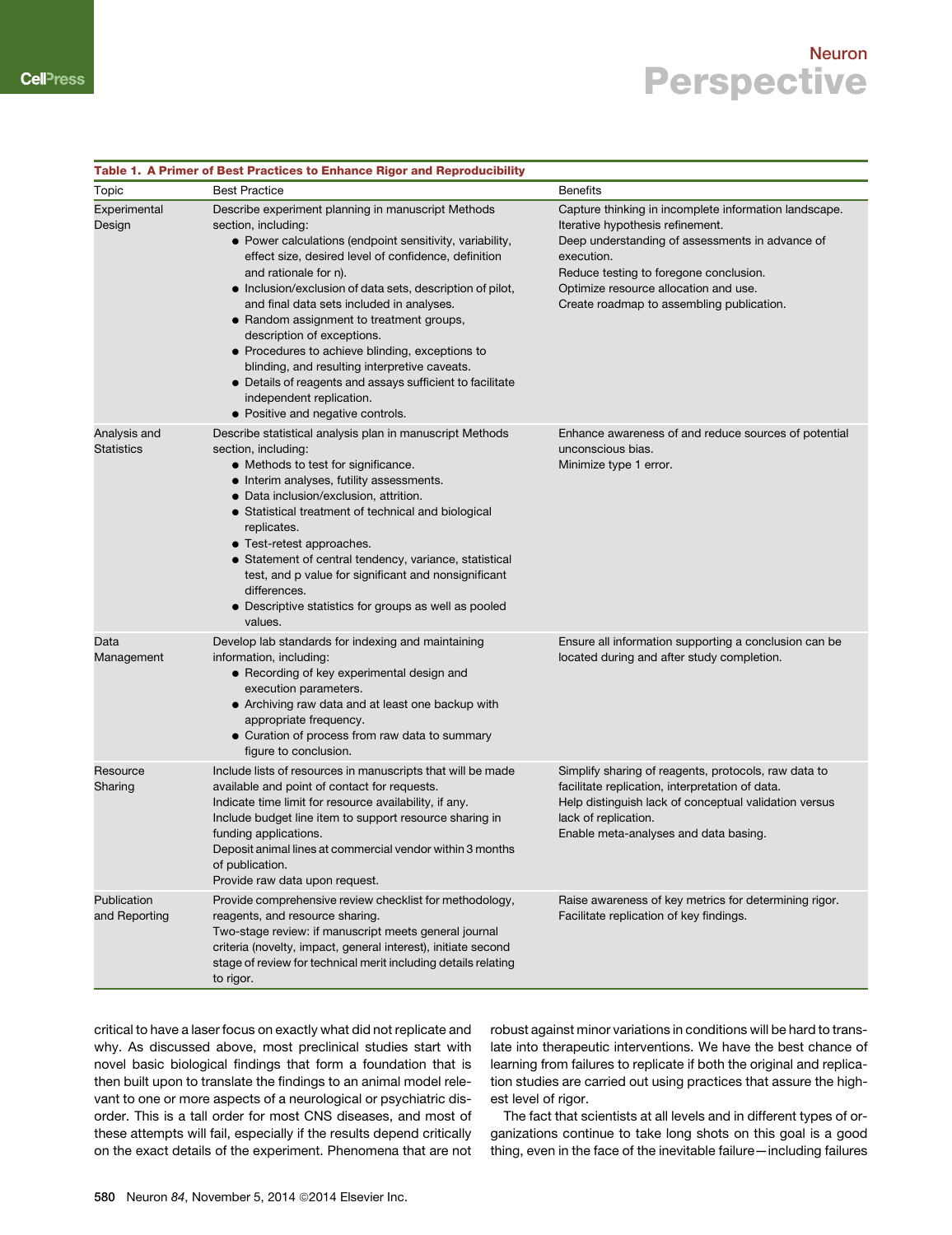<span id="page-8-0"></span>

| Table 1. A Primer of Best Practices to Enhance Rigor and Reproducibility |                                                                                                                                                                                                                                                                                                                                                                                                                                                                                                                                                                                                                                              |                                                                                                                                                                                                                                                                                            |
|--------------------------------------------------------------------------|----------------------------------------------------------------------------------------------------------------------------------------------------------------------------------------------------------------------------------------------------------------------------------------------------------------------------------------------------------------------------------------------------------------------------------------------------------------------------------------------------------------------------------------------------------------------------------------------------------------------------------------------|--------------------------------------------------------------------------------------------------------------------------------------------------------------------------------------------------------------------------------------------------------------------------------------------|
| Topic                                                                    | <b>Best Practice</b>                                                                                                                                                                                                                                                                                                                                                                                                                                                                                                                                                                                                                         | <b>Benefits</b>                                                                                                                                                                                                                                                                            |
| Experimental<br>Design                                                   | Describe experiment planning in manuscript Methods<br>section, including:<br>• Power calculations (endpoint sensitivity, variability,<br>effect size, desired level of confidence, definition<br>and rationale for n).<br>• Inclusion/exclusion of data sets, description of pilot,<br>and final data sets included in analyses.<br>• Random assignment to treatment groups,<br>description of exceptions.<br>• Procedures to achieve blinding, exceptions to<br>blinding, and resulting interpretive caveats.<br>• Details of reagents and assays sufficient to facilitate<br>independent replication.<br>• Positive and negative controls. | Capture thinking in incomplete information landscape.<br>Iterative hypothesis refinement.<br>Deep understanding of assessments in advance of<br>execution.<br>Reduce testing to foregone conclusion.<br>Optimize resource allocation and use.<br>Create roadmap to assembling publication. |
| Analysis and<br><b>Statistics</b>                                        | Describe statistical analysis plan in manuscript Methods<br>section, including:<br>• Methods to test for significance.<br>• Interim analyses, futility assessments.<br>• Data inclusion/exclusion, attrition.<br>• Statistical treatment of technical and biological<br>replicates.<br>• Test-retest approaches.<br>• Statement of central tendency, variance, statistical<br>test, and p value for significant and nonsignificant<br>differences.<br>• Descriptive statistics for groups as well as pooled<br>values.                                                                                                                       | Enhance awareness of and reduce sources of potential<br>unconscious bias.<br>Minimize type 1 error.                                                                                                                                                                                        |
| Data<br>Management                                                       | Develop lab standards for indexing and maintaining<br>information, including:<br>• Recording of key experimental design and<br>execution parameters.<br>• Archiving raw data and at least one backup with<br>appropriate frequency.<br>• Curation of process from raw data to summary<br>figure to conclusion.                                                                                                                                                                                                                                                                                                                               | Ensure all information supporting a conclusion can be<br>located during and after study completion.                                                                                                                                                                                        |
| Resource<br>Sharing                                                      | Include lists of resources in manuscripts that will be made<br>available and point of contact for requests.<br>Indicate time limit for resource availability, if any.<br>Include budget line item to support resource sharing in<br>funding applications.<br>Deposit animal lines at commercial vendor within 3 months<br>of publication.<br>Provide raw data upon request.                                                                                                                                                                                                                                                                  | Simplify sharing of reagents, protocols, raw data to<br>facilitate replication, interpretation of data.<br>Help distinguish lack of conceptual validation versus<br>lack of replication.<br>Enable meta-analyses and data basing.                                                          |
| Publication<br>and Reporting                                             | Provide comprehensive review checklist for methodology,<br>reagents, and resource sharing.<br>Two-stage review: if manuscript meets general journal<br>criteria (novelty, impact, general interest), initiate second<br>stage of review for technical merit including details relating<br>to rigor.                                                                                                                                                                                                                                                                                                                                          | Raise awareness of key metrics for determining rigor.<br>Facilitate replication of key findings.                                                                                                                                                                                           |

critical to have a laser focus on exactly what did not replicate and why. As discussed above, most preclinical studies start with novel basic biological findings that form a foundation that is then built upon to translate the findings to an animal model relevant to one or more aspects of a neurological or psychiatric disorder. This is a tall order for most CNS diseases, and most of these attempts will fail, especially if the results depend critically on the exact details of the experiment. Phenomena that are not robust against minor variations in conditions will be hard to translate into therapeutic interventions. We have the best chance of learning from failures to replicate if both the original and replication studies are carried out using practices that assure the highest level of rigor.

The fact that scientists at all levels and in different types of organizations continue to take long shots on this goal is a good thing, even in the face of the inevitable failure—including failures